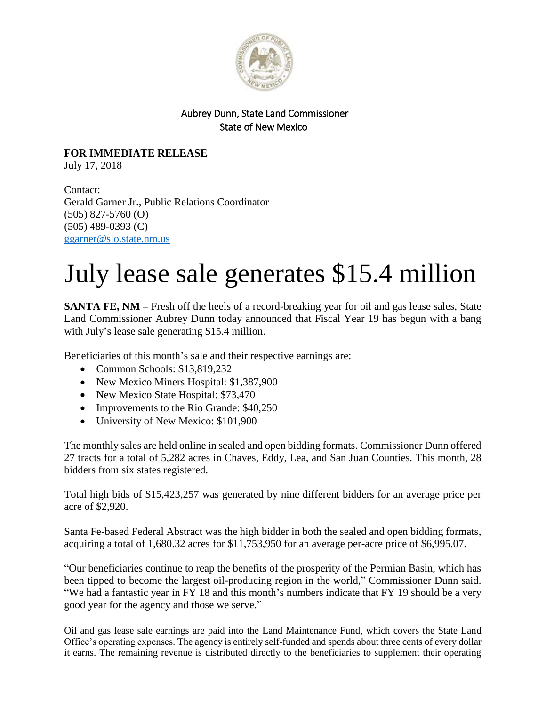

## Aubrey Dunn, State Land Commissioner State of New Mexico

**FOR IMMEDIATE RELEASE**

July 17, 2018

Contact: Gerald Garner Jr., Public Relations Coordinator (505) 827-5760 (O) (505) 489-0393 (C) [ggarner@slo.state.nm.us](mailto:ggarner@slo.state.nm.us)

## July lease sale generates \$15.4 million

**SANTA FE, NM –** Fresh off the heels of a record-breaking year for oil and gas lease sales, State Land Commissioner Aubrey Dunn today announced that Fiscal Year 19 has begun with a bang with July's lease sale generating \$15.4 million.

Beneficiaries of this month's sale and their respective earnings are:

- Common Schools: \$13,819,232
- New Mexico Miners Hospital: \$1,387,900
- New Mexico State Hospital: \$73,470
- Improvements to the Rio Grande: \$40,250
- University of New Mexico: \$101,900

The monthly sales are held online in sealed and open bidding formats. Commissioner Dunn offered 27 tracts for a total of 5,282 acres in Chaves, Eddy, Lea, and San Juan Counties. This month, 28 bidders from six states registered.

Total high bids of \$15,423,257 was generated by nine different bidders for an average price per acre of \$2,920.

Santa Fe-based Federal Abstract was the high bidder in both the sealed and open bidding formats, acquiring a total of 1,680.32 acres for \$11,753,950 for an average per-acre price of \$6,995.07.

"Our beneficiaries continue to reap the benefits of the prosperity of the Permian Basin, which has been tipped to become the largest oil-producing region in the world," Commissioner Dunn said. "We had a fantastic year in FY 18 and this month's numbers indicate that FY 19 should be a very good year for the agency and those we serve."

Oil and gas lease sale earnings are paid into the Land Maintenance Fund, which covers the State Land Office's operating expenses. The agency is entirely self-funded and spends about three cents of every dollar it earns. The remaining revenue is distributed directly to the beneficiaries to supplement their operating